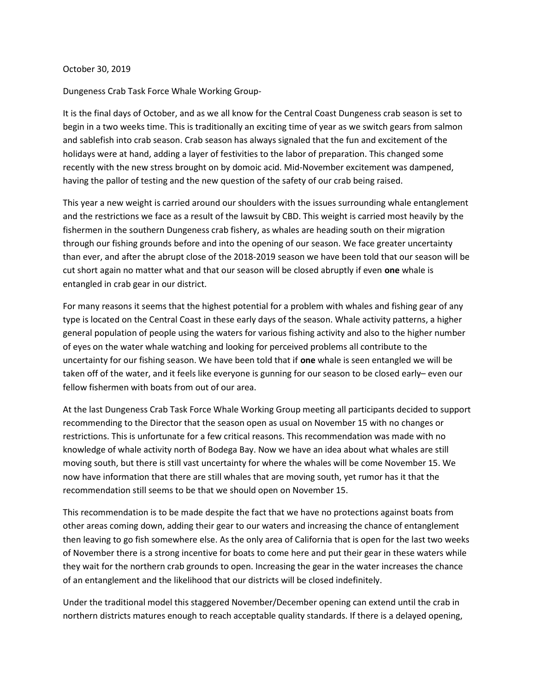## October 30, 2019

Dungeness Crab Task Force Whale Working Group-

It is the final days of October, and as we all know for the Central Coast Dungeness crab season is set to begin in a two weeks time. This is traditionally an exciting time of year as we switch gears from salmon and sablefish into crab season. Crab season has always signaled that the fun and excitement of the holidays were at hand, adding a layer of festivities to the labor of preparation. This changed some recently with the new stress brought on by domoic acid. Mid-November excitement was dampened, having the pallor of testing and the new question of the safety of our crab being raised.

This year a new weight is carried around our shoulders with the issues surrounding whale entanglement and the restrictions we face as a result of the lawsuit by CBD. This weight is carried most heavily by the fishermen in the southern Dungeness crab fishery, as whales are heading south on their migration through our fishing grounds before and into the opening of our season. We face greater uncertainty than ever, and after the abrupt close of the 2018-2019 season we have been told that our season will be cut short again no matter what and that our season will be closed abruptly if even one whale is entangled in crab gear in our district.

For many reasons it seems that the highest potential for a problem with whales and fishing gear of any type is located on the Central Coast in these early days of the season. Whale activity patterns, a higher general population of people using the waters for various fishing activity and also to the higher number of eyes on the water whale watching and looking for perceived problems all contribute to the uncertainty for our fishing season. We have been told that if one whale is seen entangled we will be taken off of the water, and it feels like everyone is gunning for our season to be closed early– even our fellow fishermen with boats from out of our area.

At the last Dungeness Crab Task Force Whale Working Group meeting all participants decided to support recommending to the Director that the season open as usual on November 15 with no changes or restrictions. This is unfortunate for a few critical reasons. This recommendation was made with no knowledge of whale activity north of Bodega Bay. Now we have an idea about what whales are still moving south, but there is still vast uncertainty for where the whales will be come November 15. We now have information that there are still whales that are moving south, yet rumor has it that the recommendation still seems to be that we should open on November 15.

This recommendation is to be made despite the fact that we have no protections against boats from other areas coming down, adding their gear to our waters and increasing the chance of entanglement then leaving to go fish somewhere else. As the only area of California that is open for the last two weeks of November there is a strong incentive for boats to come here and put their gear in these waters while they wait for the northern crab grounds to open. Increasing the gear in the water increases the chance of an entanglement and the likelihood that our districts will be closed indefinitely.

Under the traditional model this staggered November/December opening can extend until the crab in northern districts matures enough to reach acceptable quality standards. If there is a delayed opening,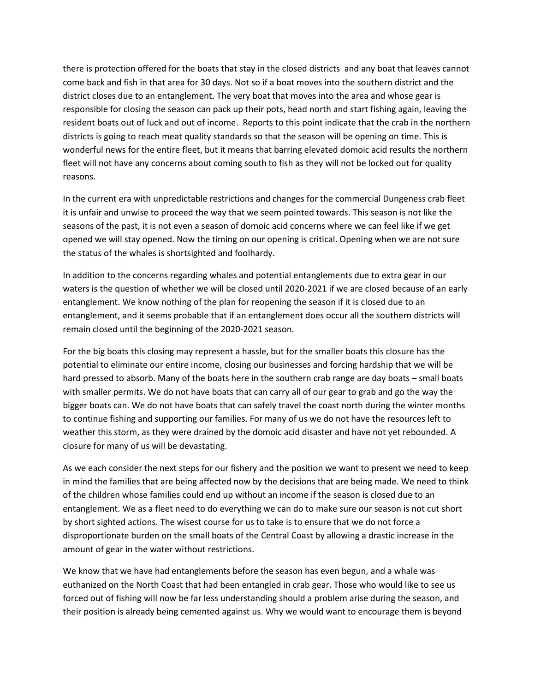there is protection offered for the boats that stay in the closed districts and any boat that leaves cannot come back and fish in that area for 30 days. Not so if a boat moves into the southern district and the district closes due to an entanglement. The very boat that moves into the area and whose gear is responsible for closing the season can pack up their pots, head north and start fishing again, leaving the resident boats out of luck and out of income. Reports to this point indicate that the crab in the northern districts is going to reach meat quality standards so that the season will be opening on time. This is wonderful news for the entire fleet, but it means that barring elevated domoic acid results the northern fleet will not have any concerns about coming south to fish as they will not be locked out for quality reasons.

In the current era with unpredictable restrictions and changes for the commercial Dungeness crab fleet it is unfair and unwise to proceed the way that we seem pointed towards. This season is not like the seasons of the past, it is not even a season of domoic acid concerns where we can feel like if we get opened we will stay opened. Now the timing on our opening is critical. Opening when we are not sure the status of the whales is shortsighted and foolhardy.

In addition to the concerns regarding whales and potential entanglements due to extra gear in our waters is the question of whether we will be closed until 2020-2021 if we are closed because of an early entanglement. We know nothing of the plan for reopening the season if it is closed due to an entanglement, and it seems probable that if an entanglement does occur all the southern districts will remain closed until the beginning of the 2020-2021 season.

For the big boats this closing may represent a hassle, but for the smaller boats this closure has the potential to eliminate our entire income, closing our businesses and forcing hardship that we will be hard pressed to absorb. Many of the boats here in the southern crab range are day boats – small boats with smaller permits. We do not have boats that can carry all of our gear to grab and go the way the bigger boats can. We do not have boats that can safely travel the coast north during the winter months to continue fishing and supporting our families. For many of us we do not have the resources left to weather this storm, as they were drained by the domoic acid disaster and have not yet rebounded. A closure for many of us will be devastating.

As we each consider the next steps for our fishery and the position we want to present we need to keep in mind the families that are being affected now by the decisions that are being made. We need to think of the children whose families could end up without an income if the season is closed due to an entanglement. We as a fleet need to do everything we can do to make sure our season is not cut short by short sighted actions. The wisest course for us to take is to ensure that we do not force a disproportionate burden on the small boats of the Central Coast by allowing a drastic increase in the amount of gear in the water without restrictions.

We know that we have had entanglements before the season has even begun, and a whale was euthanized on the North Coast that had been entangled in crab gear. Those who would like to see us forced out of fishing will now be far less understanding should a problem arise during the season, and their position is already being cemented against us. Why we would want to encourage them is beyond